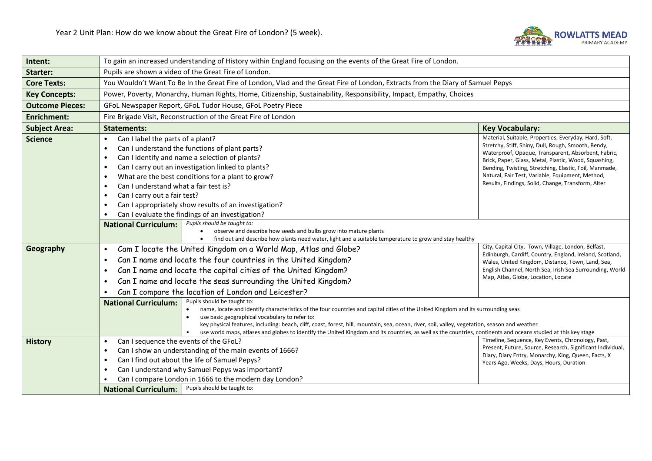

| Intent:                | To gain an increased understanding of History within England focusing on the events of the Great Fire of London.                                                                                                                                                                                   |                                                                                                                                                                                                                                                                                                                                                                                                                                                                                                                                        |                                                                                                                                                                                                                                                                                                                                                                                                  |  |
|------------------------|----------------------------------------------------------------------------------------------------------------------------------------------------------------------------------------------------------------------------------------------------------------------------------------------------|----------------------------------------------------------------------------------------------------------------------------------------------------------------------------------------------------------------------------------------------------------------------------------------------------------------------------------------------------------------------------------------------------------------------------------------------------------------------------------------------------------------------------------------|--------------------------------------------------------------------------------------------------------------------------------------------------------------------------------------------------------------------------------------------------------------------------------------------------------------------------------------------------------------------------------------------------|--|
| <b>Starter:</b>        | Pupils are shown a video of the Great Fire of London.                                                                                                                                                                                                                                              |                                                                                                                                                                                                                                                                                                                                                                                                                                                                                                                                        |                                                                                                                                                                                                                                                                                                                                                                                                  |  |
| <b>Core Texts:</b>     |                                                                                                                                                                                                                                                                                                    | You Wouldn't Want To Be In the Great Fire of London, Vlad and the Great Fire of London, Extracts from the Diary of Samuel Pepys                                                                                                                                                                                                                                                                                                                                                                                                        |                                                                                                                                                                                                                                                                                                                                                                                                  |  |
| <b>Key Concepts:</b>   |                                                                                                                                                                                                                                                                                                    | Power, Poverty, Monarchy, Human Rights, Home, Citizenship, Sustainability, Responsibility, Impact, Empathy, Choices                                                                                                                                                                                                                                                                                                                                                                                                                    |                                                                                                                                                                                                                                                                                                                                                                                                  |  |
| <b>Outcome Pieces:</b> |                                                                                                                                                                                                                                                                                                    | GFoL Newspaper Report, GFoL Tudor House, GFoL Poetry Piece                                                                                                                                                                                                                                                                                                                                                                                                                                                                             |                                                                                                                                                                                                                                                                                                                                                                                                  |  |
| <b>Enrichment:</b>     | Fire Brigade Visit, Reconstruction of the Great Fire of London                                                                                                                                                                                                                                     |                                                                                                                                                                                                                                                                                                                                                                                                                                                                                                                                        |                                                                                                                                                                                                                                                                                                                                                                                                  |  |
| <b>Subject Area:</b>   | <b>Statements:</b>                                                                                                                                                                                                                                                                                 |                                                                                                                                                                                                                                                                                                                                                                                                                                                                                                                                        | <b>Key Vocabulary:</b>                                                                                                                                                                                                                                                                                                                                                                           |  |
| <b>Science</b>         | Can I label the parts of a plant?<br>$\bullet$<br>$\bullet$<br>$\bullet$<br>$\bullet$<br>$\bullet$<br>Can I understand what a fair test is?<br>$\bullet$<br>Can I carry out a fair test?<br>$\bullet$<br>$\bullet$                                                                                 | Can I understand the functions of plant parts?<br>Can I identify and name a selection of plants?<br>Can I carry out an investigation linked to plants?<br>What are the best conditions for a plant to grow?<br>Can I appropriately show results of an investigation?<br>Can I evaluate the findings of an investigation?                                                                                                                                                                                                               | Material, Suitable, Properties, Everyday, Hard, Soft,<br>Stretchy, Stiff, Shiny, Dull, Rough, Smooth, Bendy,<br>Waterproof, Opaque, Transparent, Absorbent, Fabric,<br>Brick, Paper, Glass, Metal, Plastic, Wood, Squashing,<br>Bending, Twisting, Stretching, Elastic, Foil, Manmade,<br>Natural, Fair Test, Variable, Equipment, Method,<br>Results, Findings, Solid, Change, Transform, Alter |  |
| Geography              | <b>National Curriculum:</b><br>$\bullet$                                                                                                                                                                                                                                                           | Pupils should be taught to:<br>observe and describe how seeds and bulbs grow into mature plants<br>find out and describe how plants need water, light and a suitable temperature to grow and stay healthy<br>Cam I locate the United Kingdom on a World Map, Atlas and Globe?                                                                                                                                                                                                                                                          | City, Capital City, Town, Village, London, Belfast,<br>Edinburgh, Cardiff, Country, England, Ireland, Scotland,                                                                                                                                                                                                                                                                                  |  |
|                        | Can I name and locate the four countries in the United Kingdom?<br>$\bullet$<br>Can I name and locate the capital cities of the United Kingdom?<br>$\bullet$<br>Can I name and locate the seas surrounding the United Kingdom?<br>$\bullet$<br>Can I compare the location of London and Leicester? |                                                                                                                                                                                                                                                                                                                                                                                                                                                                                                                                        | Wales, United Kingdom, Distance, Town, Land, Sea,<br>English Channel, North Sea, Irish Sea Surrounding, World<br>Map, Atlas, Globe, Location, Locate                                                                                                                                                                                                                                             |  |
|                        | <b>National Curriculum:</b>                                                                                                                                                                                                                                                                        | Pupils should be taught to:<br>name, locate and identify characteristics of the four countries and capital cities of the United Kingdom and its surrounding seas<br>use basic geographical vocabulary to refer to:<br>key physical features, including: beach, cliff, coast, forest, hill, mountain, sea, ocean, river, soil, valley, vegetation, season and weather<br>use world maps, atlases and globes to identify the United Kingdom and its countries, as well as the countries, continents and oceans studied at this key stage |                                                                                                                                                                                                                                                                                                                                                                                                  |  |
| <b>History</b>         | Can I sequence the events of the GFoL?<br>$\bullet$<br>$\bullet$<br>$\bullet$<br>$\bullet$<br><b>National Curriculum:</b>                                                                                                                                                                          | Can I show an understanding of the main events of 1666?<br>Can I find out about the life of Samuel Pepys?<br>Can I understand why Samuel Pepys was important?<br>Can I compare London in 1666 to the modern day London?<br>Pupils should be taught to:                                                                                                                                                                                                                                                                                 | Timeline, Sequence, Key Events, Chronology, Past,<br>Present, Future, Source, Research, Significant Individual,<br>Diary, Diary Entry, Monarchy, King, Queen, Facts, X<br>Years Ago, Weeks, Days, Hours, Duration                                                                                                                                                                                |  |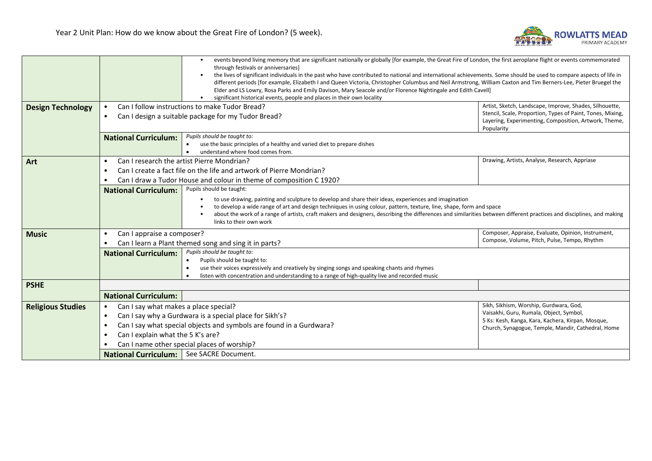

|                          |                                                                                                                                                                       | events beyond living memory that are significant nationally or globally [for example, the Great Fire of London, the first aeroplane flight or events commemorated   |                                                                     |  |  |
|--------------------------|-----------------------------------------------------------------------------------------------------------------------------------------------------------------------|---------------------------------------------------------------------------------------------------------------------------------------------------------------------|---------------------------------------------------------------------|--|--|
|                          |                                                                                                                                                                       | through festivals or anniversaries]                                                                                                                                 |                                                                     |  |  |
|                          |                                                                                                                                                                       | the lives of significant individuals in the past who have contributed to national and international achievements. Some should be used to compare aspects of life in |                                                                     |  |  |
|                          |                                                                                                                                                                       | different periods [for example, Elizabeth I and Queen Victoria, Christopher Columbus and Neil Armstrong, William Caxton and Tim Berners-Lee, Pieter Bruegel the     |                                                                     |  |  |
|                          |                                                                                                                                                                       | Elder and LS Lowry, Rosa Parks and Emily Davison, Mary Seacole and/or Florence Nightingale and Edith Cavell]                                                        |                                                                     |  |  |
|                          |                                                                                                                                                                       | significant historical events, people and places in their own locality                                                                                              |                                                                     |  |  |
| <b>Design Technology</b> | Can I follow instructions to make Tudor Bread?                                                                                                                        |                                                                                                                                                                     | Artist, Sketch, Landscape, Improve, Shades, Silhouette,             |  |  |
|                          | Can I design a suitable package for my Tudor Bread?<br>$\bullet$                                                                                                      |                                                                                                                                                                     | Stencil, Scale, Proportion, Types of Paint, Tones, Mixing,          |  |  |
|                          |                                                                                                                                                                       |                                                                                                                                                                     | Layering, Experimenting, Composition, Artwork, Theme,<br>Popularity |  |  |
|                          | <b>National Curriculum:</b>                                                                                                                                           | Pupils should be taught to:                                                                                                                                         |                                                                     |  |  |
|                          |                                                                                                                                                                       | use the basic principles of a healthy and varied diet to prepare dishes<br>$\bullet$                                                                                |                                                                     |  |  |
|                          |                                                                                                                                                                       | understand where food comes from.<br>$\bullet$                                                                                                                      |                                                                     |  |  |
| Art                      | Can I research the artist Pierre Mondrian?<br>$\bullet$                                                                                                               |                                                                                                                                                                     | Drawing, Artists, Analyse, Research, Appriase                       |  |  |
|                          | ٠                                                                                                                                                                     | Can I create a fact file on the life and artwork of Pierre Mondrian?                                                                                                |                                                                     |  |  |
|                          |                                                                                                                                                                       | Can I draw a Tudor House and colour in theme of composition C 1920?                                                                                                 |                                                                     |  |  |
|                          | <b>National Curriculum:</b>                                                                                                                                           | Pupils should be taught:                                                                                                                                            |                                                                     |  |  |
|                          |                                                                                                                                                                       | to use drawing, painting and sculpture to develop and share their ideas, experiences and imagination                                                                |                                                                     |  |  |
|                          | to develop a wide range of art and design techniques in using colour, pattern, texture, line, shape, form and space                                                   |                                                                                                                                                                     |                                                                     |  |  |
|                          | about the work of a range of artists, craft makers and designers, describing the differences and similarities between different practices and disciplines, and making |                                                                                                                                                                     |                                                                     |  |  |
|                          |                                                                                                                                                                       | links to their own work                                                                                                                                             |                                                                     |  |  |
| <b>Music</b>             | Can I appraise a composer?<br>$\bullet$                                                                                                                               |                                                                                                                                                                     | Composer, Appraise, Evaluate, Opinion, Instrument,                  |  |  |
|                          | Can I learn a Plant themed song and sing it in parts?                                                                                                                 |                                                                                                                                                                     | Compose, Volume, Pitch, Pulse, Tempo, Rhythm                        |  |  |
|                          | <b>National Curriculum:</b>                                                                                                                                           | Pupils should be taught to:                                                                                                                                         |                                                                     |  |  |
|                          |                                                                                                                                                                       | Pupils should be taught to:<br>$\bullet$                                                                                                                            |                                                                     |  |  |
|                          |                                                                                                                                                                       | use their voices expressively and creatively by singing songs and speaking chants and rhymes<br>$\bullet$                                                           |                                                                     |  |  |
|                          |                                                                                                                                                                       | listen with concentration and understanding to a range of high-quality live and recorded music                                                                      |                                                                     |  |  |
| <b>PSHE</b>              |                                                                                                                                                                       |                                                                                                                                                                     |                                                                     |  |  |
|                          | <b>National Curriculum:</b>                                                                                                                                           |                                                                                                                                                                     |                                                                     |  |  |
| <b>Religious Studies</b> | Can I say what makes a place special?<br>$\bullet$                                                                                                                    |                                                                                                                                                                     | Sikh, Sikhism, Worship, Gurdwara, God,                              |  |  |
|                          | $\bullet$                                                                                                                                                             | Can I say why a Gurdwara is a special place for Sikh's?                                                                                                             | Vaisakhi, Guru, Rumala, Object, Symbol,                             |  |  |
|                          |                                                                                                                                                                       |                                                                                                                                                                     | 5 Ks: Kesh, Kanga, Kara, Kachera, Kirpan, Mosque,                   |  |  |
|                          | Can I say what special objects and symbols are found in a Gurdwara?<br>$\bullet$                                                                                      |                                                                                                                                                                     | Church, Synagogue, Temple, Mandir, Cathedral, Home                  |  |  |
|                          | Can I explain what the 5 K's are?<br>$\bullet$                                                                                                                        |                                                                                                                                                                     |                                                                     |  |  |
|                          | Can I name other special places of worship?                                                                                                                           |                                                                                                                                                                     |                                                                     |  |  |
|                          | National Curriculum:   See SACRE Document.                                                                                                                            |                                                                                                                                                                     |                                                                     |  |  |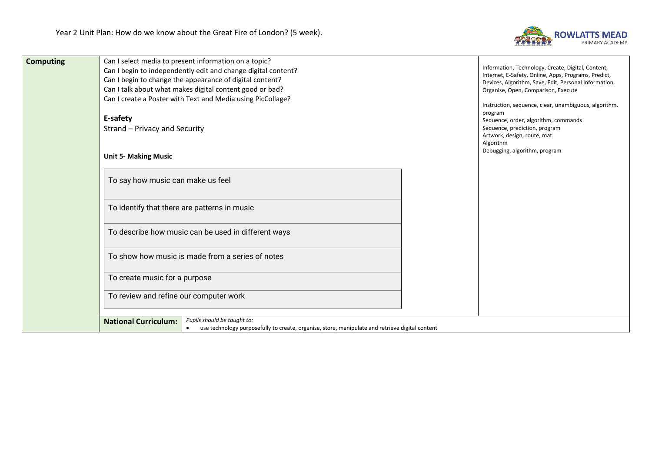

| <b>Computing</b> | Can I select media to present information on a topic?<br>Can I begin to independently edit and change digital content?<br>Can I begin to change the appearance of digital content?<br>Can I talk about what makes digital content good or bad?<br>Can I create a Poster with Text and Media using PicCollage?<br>E-safety<br>Strand - Privacy and Security | Information, Technology, Create, Digital, Content,<br>Internet, E-Safety, Online, Apps, Programs, Predict,<br>Devices, Algorithm, Save, Edit, Personal Information,<br>Organise, Open, Comparison, Execute<br>Instruction, sequence, clear, unambiguous, algorithm,<br>program<br>Sequence, order, algorithm, commands<br>Sequence, prediction, program<br>Artwork, design, route, mat<br>Algorithm |
|------------------|------------------------------------------------------------------------------------------------------------------------------------------------------------------------------------------------------------------------------------------------------------------------------------------------------------------------------------------------------------|-----------------------------------------------------------------------------------------------------------------------------------------------------------------------------------------------------------------------------------------------------------------------------------------------------------------------------------------------------------------------------------------------------|
|                  | <b>Unit 5- Making Music</b>                                                                                                                                                                                                                                                                                                                                | Debugging, algorithm, program                                                                                                                                                                                                                                                                                                                                                                       |
|                  | To say how music can make us feel                                                                                                                                                                                                                                                                                                                          |                                                                                                                                                                                                                                                                                                                                                                                                     |
|                  | To identify that there are patterns in music                                                                                                                                                                                                                                                                                                               |                                                                                                                                                                                                                                                                                                                                                                                                     |
|                  | To describe how music can be used in different ways                                                                                                                                                                                                                                                                                                        |                                                                                                                                                                                                                                                                                                                                                                                                     |
|                  | To show how music is made from a series of notes                                                                                                                                                                                                                                                                                                           |                                                                                                                                                                                                                                                                                                                                                                                                     |
|                  | To create music for a purpose                                                                                                                                                                                                                                                                                                                              |                                                                                                                                                                                                                                                                                                                                                                                                     |
|                  | To review and refine our computer work                                                                                                                                                                                                                                                                                                                     |                                                                                                                                                                                                                                                                                                                                                                                                     |
|                  | Pupils should be taught to:<br><b>National Curriculum:</b><br>use technology purposefully to create, organise, store, manipulate and retrieve digital content<br>$\bullet$                                                                                                                                                                                 |                                                                                                                                                                                                                                                                                                                                                                                                     |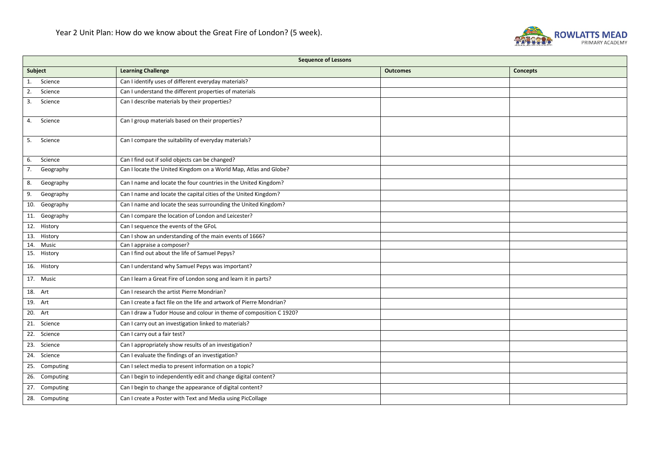

| <b>Sequence of Lessons</b> |                                                                      |                 |          |  |
|----------------------------|----------------------------------------------------------------------|-----------------|----------|--|
| Subject                    | <b>Learning Challenge</b>                                            | <b>Outcomes</b> | Concepts |  |
| 1. Science                 | Can I identify uses of different everyday materials?                 |                 |          |  |
| Science<br>2.              | Can I understand the different properties of materials               |                 |          |  |
| Science<br>3.              | Can I describe materials by their properties?                        |                 |          |  |
| Science<br>4.              | Can I group materials based on their properties?                     |                 |          |  |
| Science<br>5.              | Can I compare the suitability of everyday materials?                 |                 |          |  |
| Science<br>6.              | Can I find out if solid objects can be changed?                      |                 |          |  |
| 7.<br>Geography            | Can I locate the United Kingdom on a World Map, Atlas and Globe?     |                 |          |  |
| Geography<br>8.            | Can I name and locate the four countries in the United Kingdom?      |                 |          |  |
| Geography<br>9.            | Can I name and locate the capital cities of the United Kingdom?      |                 |          |  |
| 10. Geography              | Can I name and locate the seas surrounding the United Kingdom?       |                 |          |  |
| 11. Geography              | Can I compare the location of London and Leicester?                  |                 |          |  |
| 12. History                | Can I sequence the events of the GFoL                                |                 |          |  |
| History<br>13.             | Can I show an understanding of the main events of 1666?              |                 |          |  |
| 14.<br>Music               | Can I appraise a composer?                                           |                 |          |  |
| 15. History                | Can I find out about the life of Samuel Pepys?                       |                 |          |  |
| 16. History                | Can I understand why Samuel Pepys was important?                     |                 |          |  |
| 17. Music                  | Can I learn a Great Fire of London song and learn it in parts?       |                 |          |  |
| 18. Art                    | Can I research the artist Pierre Mondrian?                           |                 |          |  |
| 19. Art                    | Can I create a fact file on the life and artwork of Pierre Mondrian? |                 |          |  |
| 20. Art                    | Can I draw a Tudor House and colour in theme of composition C 1920?  |                 |          |  |
| 21. Science                | Can I carry out an investigation linked to materials?                |                 |          |  |
| Science<br>22.             | Can I carry out a fair test?                                         |                 |          |  |
| 23. Science                | Can I appropriately show results of an investigation?                |                 |          |  |
| 24. Science                | Can I evaluate the findings of an investigation?                     |                 |          |  |
| 25. Computing              | Can I select media to present information on a topic?                |                 |          |  |
| 26. Computing              | Can I begin to independently edit and change digital content?        |                 |          |  |
| 27. Computing              | Can I begin to change the appearance of digital content?             |                 |          |  |
| 28. Computing              | Can I create a Poster with Text and Media using PicCollage           |                 |          |  |